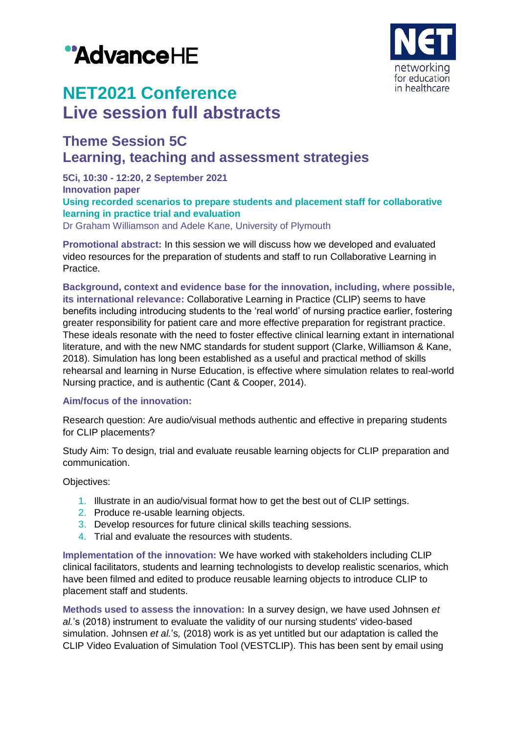# "AdvanceHE



## **NET2021 Conference Live session full abstracts**

### **Theme Session 5C Learning, teaching and assessment strategies**

**5Ci, 10:30 - 12:20, 2 September 2021 Innovation paper Using recorded scenarios to prepare students and placement staff for collaborative learning in practice trial and evaluation**

Dr Graham Williamson and Adele Kane, University of Plymouth

**Promotional abstract:** In this session we will discuss how we developed and evaluated video resources for the preparation of students and staff to run Collaborative Learning in Practice.

**Background, context and evidence base for the innovation, including, where possible, its international relevance:** Collaborative Learning in Practice (CLIP) seems to have benefits including introducing students to the 'real world' of nursing practice earlier, fostering greater responsibility for patient care and more effective preparation for registrant practice. These ideals resonate with the need to foster effective clinical learning extant in international literature, and with the new NMC standards for student support (Clarke, Williamson & Kane, 2018). Simulation has long been established as a useful and practical method of skills rehearsal and learning in Nurse Education, is effective where simulation relates to real-world Nursing practice, and is authentic (Cant & Cooper, 2014).

#### **Aim/focus of the innovation:**

Research question: Are audio/visual methods authentic and effective in preparing students for CLIP placements?

Study Aim: To design, trial and evaluate reusable learning objects for CLIP preparation and communication.

Objectives:

- 1. Illustrate in an audio/visual format how to get the best out of CLIP settings.
- 2. Produce re-usable learning objects.
- 3. Develop resources for future clinical skills teaching sessions.
- 4. Trial and evaluate the resources with students.

**Implementation of the innovation:** We have worked with stakeholders including CLIP clinical facilitators, students and learning technologists to develop realistic scenarios, which have been filmed and edited to produce reusable learning objects to introduce CLIP to placement staff and students.

**Methods used to assess the innovation:** In a survey design, we have used Johnsen *et al.*'s (2018) instrument to evaluate the validity of our nursing students' video-based simulation. Johnsen *et al.*'s*,* (2018) work is as yet untitled but our adaptation is called the CLIP Video Evaluation of Simulation Tool (VESTCLIP). This has been sent by email using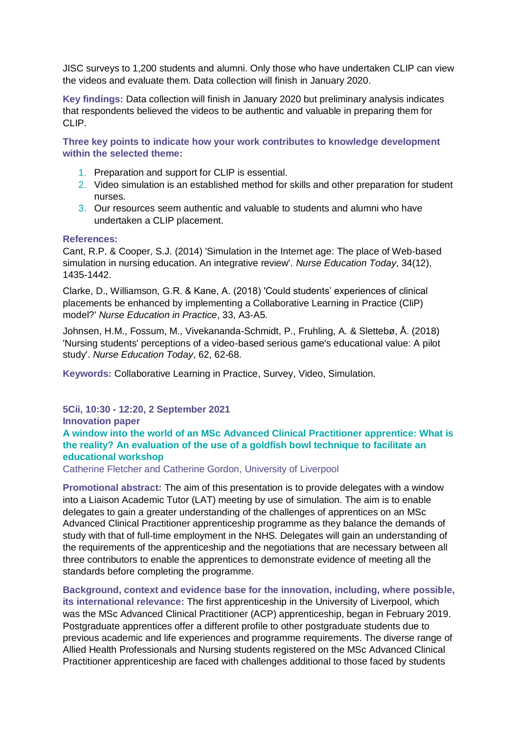JISC surveys to 1,200 students and alumni. Only those who have undertaken CLIP can view the videos and evaluate them. Data collection will finish in January 2020.

**Key findings:** Data collection will finish in January 2020 but preliminary analysis indicates that respondents believed the videos to be authentic and valuable in preparing them for CLIP.

**Three key points to indicate how your work contributes to knowledge development within the selected theme:**

- 1. Preparation and support for CLIP is essential.
- 2. Video simulation is an established method for skills and other preparation for student nurses.
- 3. Our resources seem authentic and valuable to students and alumni who have undertaken a CLIP placement.

#### **References:**

Cant, R.P. & Cooper, S.J. (2014) 'Simulation in the Internet age: The place of Web-based simulation in nursing education. An integrative review'. *Nurse Education Today*, 34(12), 1435-1442.

Clarke, D., Williamson, G.R. & Kane, A. (2018) 'Could students' experiences of clinical placements be enhanced by implementing a Collaborative Learning in Practice (CliP) model?' *Nurse Education in Practice*, 33, A3-A5.

Johnsen, H.M., Fossum, M., Vivekananda-Schmidt, P., Fruhling, A. & Slettebø, Å. (2018) 'Nursing students' perceptions of a video-based serious game's educational value: A pilot study'. *Nurse Education Today*, 62, 62-68.

**Keywords:** Collaborative Learning in Practice, Survey, Video, Simulation.

#### **5Cii, 10:30 - 12:20, 2 September 2021**

**Innovation paper**

**A window into the world of an MSc Advanced Clinical Practitioner apprentice: What is the reality? An evaluation of the use of a goldfish bowl technique to facilitate an educational workshop**

Catherine Fletcher and Catherine Gordon, University of Liverpool

**Promotional abstract:** The aim of this presentation is to provide delegates with a window into a Liaison Academic Tutor (LAT) meeting by use of simulation. The aim is to enable delegates to gain a greater understanding of the challenges of apprentices on an MSc Advanced Clinical Practitioner apprenticeship programme as they balance the demands of study with that of full-time employment in the NHS. Delegates will gain an understanding of the requirements of the apprenticeship and the negotiations that are necessary between all three contributors to enable the apprentices to demonstrate evidence of meeting all the standards before completing the programme.

**Background, context and evidence base for the innovation, including, where possible, its international relevance:** The first apprenticeship in the University of Liverpool, which was the MSc Advanced Clinical Practitioner (ACP) apprenticeship, began in February 2019. Postgraduate apprentices offer a different profile to other postgraduate students due to previous academic and life experiences and programme requirements. The diverse range of Allied Health Professionals and Nursing students registered on the MSc Advanced Clinical Practitioner apprenticeship are faced with challenges additional to those faced by students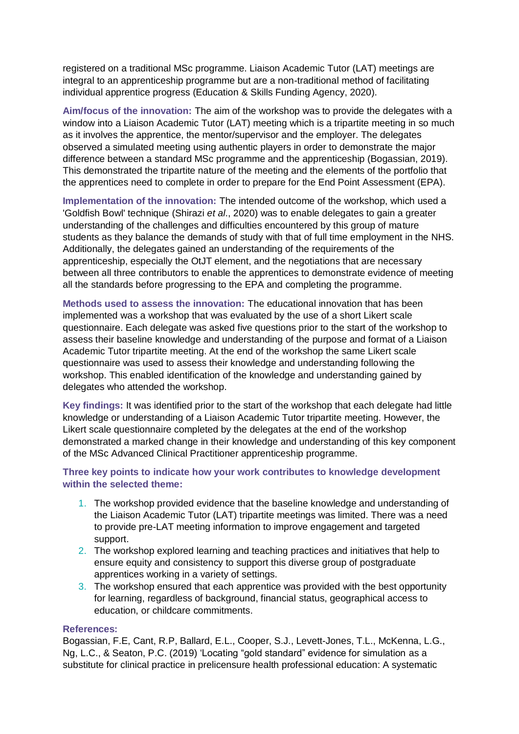registered on a traditional MSc programme. Liaison Academic Tutor (LAT) meetings are integral to an apprenticeship programme but are a non-traditional method of facilitating individual apprentice progress (Education & Skills Funding Agency, 2020).

**Aim/focus of the innovation:** The aim of the workshop was to provide the delegates with a window into a Liaison Academic Tutor (LAT) meeting which is a tripartite meeting in so much as it involves the apprentice, the mentor/supervisor and the employer. The delegates observed a simulated meeting using authentic players in order to demonstrate the major difference between a standard MSc programme and the apprenticeship (Bogassian, 2019). This demonstrated the tripartite nature of the meeting and the elements of the portfolio that the apprentices need to complete in order to prepare for the End Point Assessment (EPA).

**Implementation of the innovation:** The intended outcome of the workshop, which used a 'Goldfish Bowl' technique (Shirazi *et al*., 2020) was to enable delegates to gain a greater understanding of the challenges and difficulties encountered by this group of mature students as they balance the demands of study with that of full time employment in the NHS. Additionally, the delegates gained an understanding of the requirements of the apprenticeship, especially the OtJT element, and the negotiations that are necessary between all three contributors to enable the apprentices to demonstrate evidence of meeting all the standards before progressing to the EPA and completing the programme.

**Methods used to assess the innovation:** The educational innovation that has been implemented was a workshop that was evaluated by the use of a short Likert scale questionnaire. Each delegate was asked five questions prior to the start of the workshop to assess their baseline knowledge and understanding of the purpose and format of a Liaison Academic Tutor tripartite meeting. At the end of the workshop the same Likert scale questionnaire was used to assess their knowledge and understanding following the workshop. This enabled identification of the knowledge and understanding gained by delegates who attended the workshop.

**Key findings:** It was identified prior to the start of the workshop that each delegate had little knowledge or understanding of a Liaison Academic Tutor tripartite meeting. However, the Likert scale questionnaire completed by the delegates at the end of the workshop demonstrated a marked change in their knowledge and understanding of this key component of the MSc Advanced Clinical Practitioner apprenticeship programme.

#### **Three key points to indicate how your work contributes to knowledge development within the selected theme:**

- 1. The workshop provided evidence that the baseline knowledge and understanding of the Liaison Academic Tutor (LAT) tripartite meetings was limited. There was a need to provide pre-LAT meeting information to improve engagement and targeted support.
- 2. The workshop explored learning and teaching practices and initiatives that help to ensure equity and consistency to support this diverse group of postgraduate apprentices working in a variety of settings.
- 3. The workshop ensured that each apprentice was provided with the best opportunity for learning, regardless of background, financial status, geographical access to education, or childcare commitments.

#### **References:**

Bogassian, F.E, Cant, R.P, Ballard, E.L., Cooper, S.J., Levett-Jones, T.L., McKenna, L.G., Ng, L.C., & Seaton, P.C. (2019) 'Locating "gold standard" evidence for simulation as a substitute for clinical practice in prelicensure health professional education: A systematic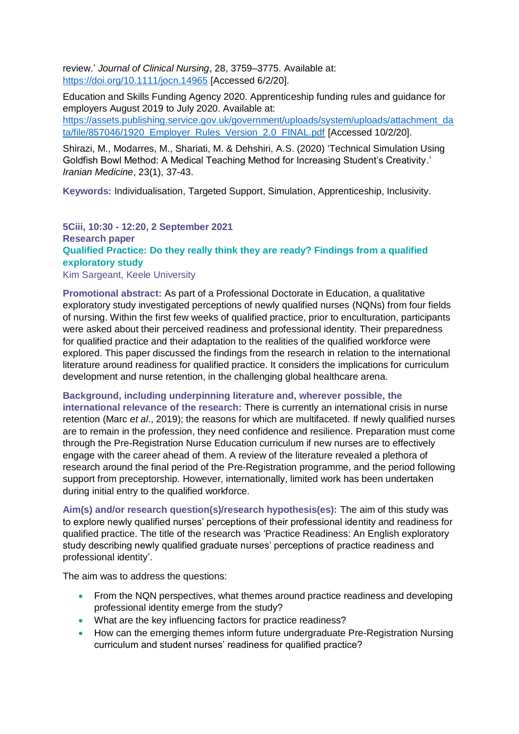review.' *Journal of Clinical Nursing*, 28, 3759–3775. Available at: <https://doi.org/10.1111/jocn.14965> [Accessed 6/2/20].

Education and Skills Funding Agency 2020. Apprenticeship funding rules and guidance for employers August 2019 to July 2020. Available at: [https://assets.publishing.service.gov.uk/government/uploads/system/uploads/attachment\\_da](https://assets.publishing.service.gov.uk/government/uploads/system/uploads/attachment_data/file/857046/1920_Employer_Rules_Version_2.0_FINAL.pdf) ta/file/857046/1920 Employer Rules Version 2.0 FINAL.pdf [Accessed 10/2/20].

Shirazi, M., Modarres, M., Shariati, M. & Dehshiri, A.S. (2020) 'Technical Simulation Using Goldfish Bowl Method: A Medical Teaching Method for Increasing Student's Creativity.' *Iranian Medicine*, 23(1), 37-43.

**Keywords:** Individualisation, Targeted Support, Simulation, Apprenticeship, Inclusivity.

#### **5Ciii, 10:30 - 12:20, 2 September 2021 Research paper Qualified Practice: Do they really think they are ready? Findings from a qualified exploratory study** Kim Sargeant, Keele University

**Promotional abstract:** As part of a Professional Doctorate in Education, a qualitative exploratory study investigated perceptions of newly qualified nurses (NQNs) from four fields of nursing. Within the first few weeks of qualified practice, prior to enculturation, participants were asked about their perceived readiness and professional identity. Their preparedness for qualified practice and their adaptation to the realities of the qualified workforce were explored. This paper discussed the findings from the research in relation to the international literature around readiness for qualified practice. It considers the implications for curriculum development and nurse retention, in the challenging global healthcare arena.

#### **Background, including underpinning literature and, wherever possible, the**

**international relevance of the research:** There is currently an international crisis in nurse retention (Marc *et al*., 2019); the reasons for which are multifaceted. If newly qualified nurses are to remain in the profession, they need confidence and resilience. Preparation must come through the Pre-Registration Nurse Education curriculum if new nurses are to effectively engage with the career ahead of them. A review of the literature revealed a plethora of research around the final period of the Pre-Registration programme, and the period following support from preceptorship. However, internationally, limited work has been undertaken during initial entry to the qualified workforce.

**Aim(s) and/or research question(s)/research hypothesis(es):** The aim of this study was to explore newly qualified nurses' perceptions of their professional identity and readiness for qualified practice. The title of the research was 'Practice Readiness: An English exploratory study describing newly qualified graduate nurses' perceptions of practice readiness and professional identity'.

The aim was to address the questions:

- From the NQN perspectives, what themes around practice readiness and developing professional identity emerge from the study?
- What are the key influencing factors for practice readiness?
- How can the emerging themes inform future undergraduate Pre-Registration Nursing curriculum and student nurses' readiness for qualified practice?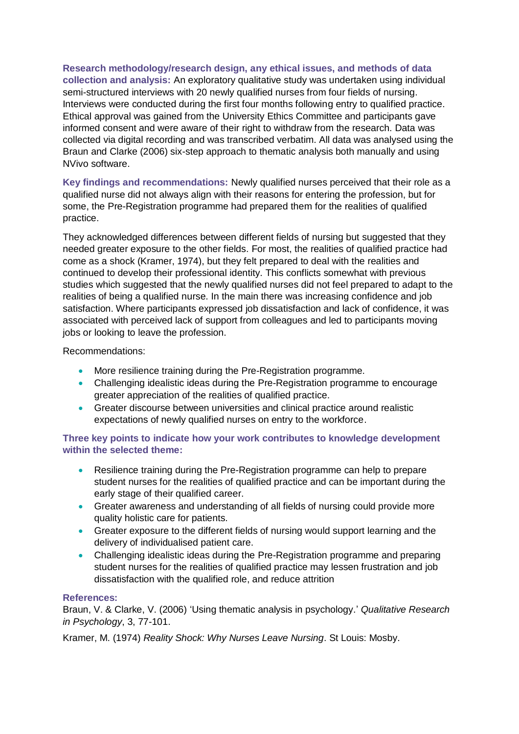**Research methodology/research design, any ethical issues, and methods of data collection and analysis:** An exploratory qualitative study was undertaken using individual semi-structured interviews with 20 newly qualified nurses from four fields of nursing. Interviews were conducted during the first four months following entry to qualified practice. Ethical approval was gained from the University Ethics Committee and participants gave informed consent and were aware of their right to withdraw from the research. Data was collected via digital recording and was transcribed verbatim. All data was analysed using the Braun and Clarke (2006) six-step approach to thematic analysis both manually and using NVivo software.

**Key findings and recommendations:** Newly qualified nurses perceived that their role as a qualified nurse did not always align with their reasons for entering the profession, but for some, the Pre-Registration programme had prepared them for the realities of qualified practice.

They acknowledged differences between different fields of nursing but suggested that they needed greater exposure to the other fields. For most, the realities of qualified practice had come as a shock (Kramer, 1974), but they felt prepared to deal with the realities and continued to develop their professional identity. This conflicts somewhat with previous studies which suggested that the newly qualified nurses did not feel prepared to adapt to the realities of being a qualified nurse. In the main there was increasing confidence and job satisfaction. Where participants expressed job dissatisfaction and lack of confidence, it was associated with perceived lack of support from colleagues and led to participants moving jobs or looking to leave the profession.

Recommendations:

- More resilience training during the Pre-Registration programme.
- Challenging idealistic ideas during the Pre-Registration programme to encourage greater appreciation of the realities of qualified practice.
- Greater discourse between universities and clinical practice around realistic expectations of newly qualified nurses on entry to the workforce.

#### **Three key points to indicate how your work contributes to knowledge development within the selected theme:**

- Resilience training during the Pre-Registration programme can help to prepare student nurses for the realities of qualified practice and can be important during the early stage of their qualified career.
- Greater awareness and understanding of all fields of nursing could provide more quality holistic care for patients.
- Greater exposure to the different fields of nursing would support learning and the delivery of individualised patient care.
- Challenging idealistic ideas during the Pre-Registration programme and preparing student nurses for the realities of qualified practice may lessen frustration and job dissatisfaction with the qualified role, and reduce attrition

#### **References:**

Braun, V. & Clarke, V. (2006) 'Using thematic analysis in psychology.' *Qualitative Research in Psychology*, 3, 77-101.

Kramer, M. (1974) *Reality Shock: Why Nurses Leave Nursing*. St Louis: Mosby.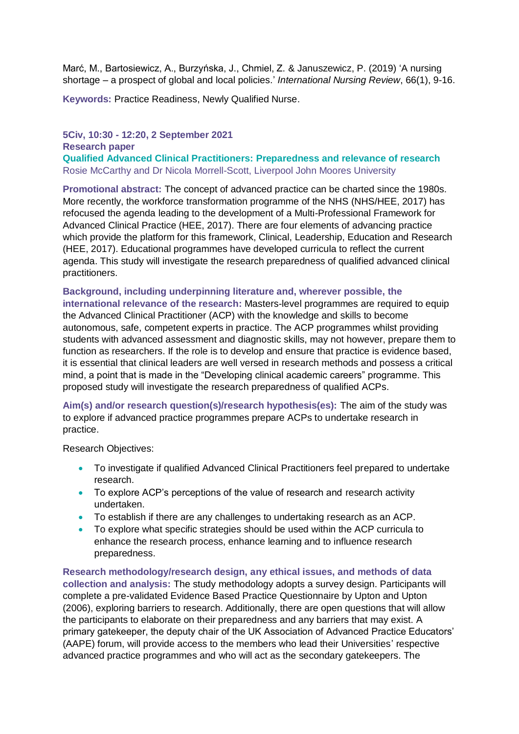Marć, M., Bartosiewicz, A., Burzyńska, J., Chmiel, Z. & Januszewicz, P. (2019) 'A nursing shortage – a prospect of global and local policies.' *International Nursing Review*, 66(1), 9-16.

**Keywords:** Practice Readiness, Newly Qualified Nurse.

#### **5Civ, 10:30 - 12:20, 2 September 2021 Research paper**

**Qualified Advanced Clinical Practitioners: Preparedness and relevance of research** Rosie McCarthy and Dr Nicola Morrell-Scott, Liverpool John Moores University

**Promotional abstract:** The concept of advanced practice can be charted since the 1980s. More recently, the workforce transformation programme of the NHS (NHS/HEE, 2017) has refocused the agenda leading to the development of a Multi-Professional Framework for Advanced Clinical Practice (HEE, 2017). There are four elements of advancing practice which provide the platform for this framework, Clinical, Leadership, Education and Research (HEE, 2017). Educational programmes have developed curricula to reflect the current agenda. This study will investigate the research preparedness of qualified advanced clinical practitioners.

**Background, including underpinning literature and, wherever possible, the international relevance of the research:** Masters-level programmes are required to equip the Advanced Clinical Practitioner (ACP) with the knowledge and skills to become autonomous, safe, competent experts in practice. The ACP programmes whilst providing students with advanced assessment and diagnostic skills, may not however, prepare them to function as researchers. If the role is to develop and ensure that practice is evidence based, it is essential that clinical leaders are well versed in research methods and possess a critical mind, a point that is made in the "Developing clinical academic careers" programme. This proposed study will investigate the research preparedness of qualified ACPs.

**Aim(s) and/or research question(s)/research hypothesis(es):** The aim of the study was to explore if advanced practice programmes prepare ACPs to undertake research in practice.

Research Objectives:

- To investigate if qualified Advanced Clinical Practitioners feel prepared to undertake research.
- To explore ACP's perceptions of the value of research and research activity undertaken.
- To establish if there are any challenges to undertaking research as an ACP.
- To explore what specific strategies should be used within the ACP curricula to enhance the research process, enhance learning and to influence research preparedness.

**Research methodology/research design, any ethical issues, and methods of data collection and analysis:** The study methodology adopts a survey design. Participants will complete a pre-validated Evidence Based Practice Questionnaire by Upton and Upton (2006), exploring barriers to research. Additionally, there are open questions that will allow the participants to elaborate on their preparedness and any barriers that may exist. A primary gatekeeper, the deputy chair of the UK Association of Advanced Practice Educators' (AAPE) forum, will provide access to the members who lead their Universities' respective advanced practice programmes and who will act as the secondary gatekeepers. The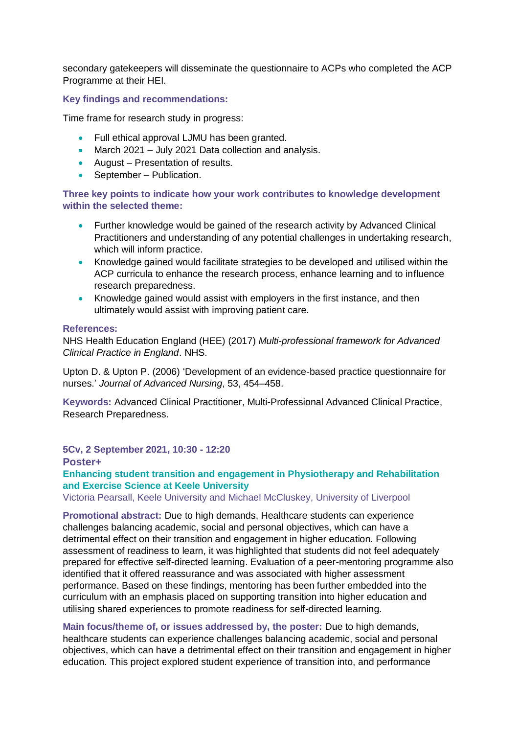secondary gatekeepers will disseminate the questionnaire to ACPs who completed the ACP Programme at their HEI.

#### **Key findings and recommendations:**

Time frame for research study in progress:

- Full ethical approval LJMU has been granted.
- March 2021 July 2021 Data collection and analysis.
- August Presentation of results.
- September Publication.

**Three key points to indicate how your work contributes to knowledge development within the selected theme:**

- Further knowledge would be gained of the research activity by Advanced Clinical Practitioners and understanding of any potential challenges in undertaking research, which will inform practice.
- Knowledge gained would facilitate strategies to be developed and utilised within the ACP curricula to enhance the research process, enhance learning and to influence research preparedness.
- Knowledge gained would assist with employers in the first instance, and then ultimately would assist with improving patient care.

#### **References:**

NHS Health Education England (HEE) (2017) *Multi-professional framework for Advanced Clinical Practice in England*. NHS.

Upton D. & Upton P. (2006) 'Development of an evidence-based practice questionnaire for nurses.' *Journal of Advanced Nursing*, 53, 454–458.

**Keywords:** Advanced Clinical Practitioner, Multi-Professional Advanced Clinical Practice, Research Preparedness.

**5Cv, 2 September 2021, 10:30 - 12:20 Poster+ Enhancing student transition and engagement in Physiotherapy and Rehabilitation and Exercise Science at Keele University**

Victoria Pearsall, Keele University and Michael McCluskey, University of Liverpool

**Promotional abstract:** Due to high demands, Healthcare students can experience challenges balancing academic, social and personal objectives, which can have a detrimental effect on their transition and engagement in higher education. Following assessment of readiness to learn, it was highlighted that students did not feel adequately prepared for effective self-directed learning. Evaluation of a peer-mentoring programme also identified that it offered reassurance and was associated with higher assessment performance. Based on these findings, mentoring has been further embedded into the curriculum with an emphasis placed on supporting transition into higher education and utilising shared experiences to promote readiness for self-directed learning.

**Main focus/theme of, or issues addressed by, the poster:** Due to high demands, healthcare students can experience challenges balancing academic, social and personal objectives, which can have a detrimental effect on their transition and engagement in higher education. This project explored student experience of transition into, and performance